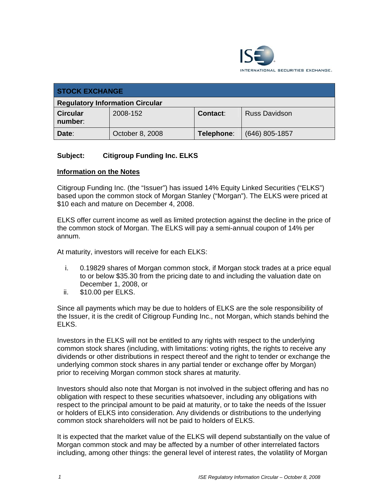

| <b>STOCK EXCHANGE</b>                  |                 |            |                      |
|----------------------------------------|-----------------|------------|----------------------|
| <b>Regulatory Information Circular</b> |                 |            |                      |
| <b>Circular</b><br>number:             | 2008-152        | Contact:   | <b>Russ Davidson</b> |
| Date:                                  | October 8, 2008 | Telephone: | $(646)$ 805-1857     |

# **Subject: Citigroup Funding Inc. ELKS**

### **Information on the Notes**

Citigroup Funding Inc. (the "Issuer") has issued 14% Equity Linked Securities ("ELKS") based upon the common stock of Morgan Stanley ("Morgan"). The ELKS were priced at \$10 each and mature on December 4, 2008.

ELKS offer current income as well as limited protection against the decline in the price of the common stock of Morgan. The ELKS will pay a semi-annual coupon of 14% per annum.

At maturity, investors will receive for each ELKS:

- i. 0.19829 shares of Morgan common stock, if Morgan stock trades at a price equal to or below \$35.30 from the pricing date to and including the valuation date on December 1, 2008, or
- ii. \$10.00 per ELKS.

Since all payments which may be due to holders of ELKS are the sole responsibility of the Issuer, it is the credit of Citigroup Funding Inc., not Morgan, which stands behind the ELKS.

Investors in the ELKS will not be entitled to any rights with respect to the underlying common stock shares (including, with limitations: voting rights, the rights to receive any dividends or other distributions in respect thereof and the right to tender or exchange the underlying common stock shares in any partial tender or exchange offer by Morgan) prior to receiving Morgan common stock shares at maturity.

Investors should also note that Morgan is not involved in the subject offering and has no obligation with respect to these securities whatsoever, including any obligations with respect to the principal amount to be paid at maturity, or to take the needs of the Issuer or holders of ELKS into consideration. Any dividends or distributions to the underlying common stock shareholders will not be paid to holders of ELKS.

It is expected that the market value of the ELKS will depend substantially on the value of Morgan common stock and may be affected by a number of other interrelated factors including, among other things: the general level of interest rates, the volatility of Morgan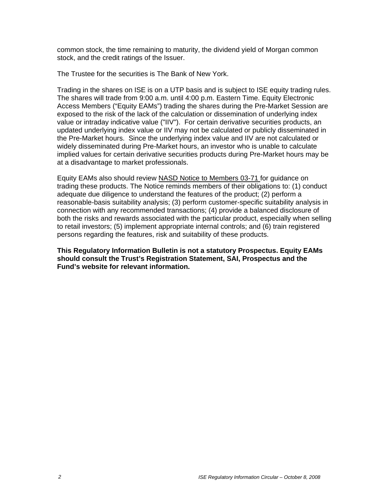common stock, the time remaining to maturity, the dividend yield of Morgan common stock, and the credit ratings of the Issuer.

The Trustee for the securities is The Bank of New York.

Trading in the shares on ISE is on a UTP basis and is subject to ISE equity trading rules. The shares will trade from 9:00 a.m. until 4:00 p.m. Eastern Time. Equity Electronic Access Members ("Equity EAMs") trading the shares during the Pre-Market Session are exposed to the risk of the lack of the calculation or dissemination of underlying index value or intraday indicative value ("IIV"). For certain derivative securities products, an updated underlying index value or IIV may not be calculated or publicly disseminated in the Pre-Market hours. Since the underlying index value and IIV are not calculated or widely disseminated during Pre-Market hours, an investor who is unable to calculate implied values for certain derivative securities products during Pre-Market hours may be at a disadvantage to market professionals.

Equity EAMs also should review NASD Notice to Members 03-71 for guidance on trading these products. The Notice reminds members of their obligations to: (1) conduct adequate due diligence to understand the features of the product; (2) perform a reasonable-basis suitability analysis; (3) perform customer-specific suitability analysis in connection with any recommended transactions; (4) provide a balanced disclosure of both the risks and rewards associated with the particular product, especially when selling to retail investors; (5) implement appropriate internal controls; and (6) train registered persons regarding the features, risk and suitability of these products.

**This Regulatory Information Bulletin is not a statutory Prospectus. Equity EAMs should consult the Trust's Registration Statement, SAI, Prospectus and the Fund's website for relevant information.**